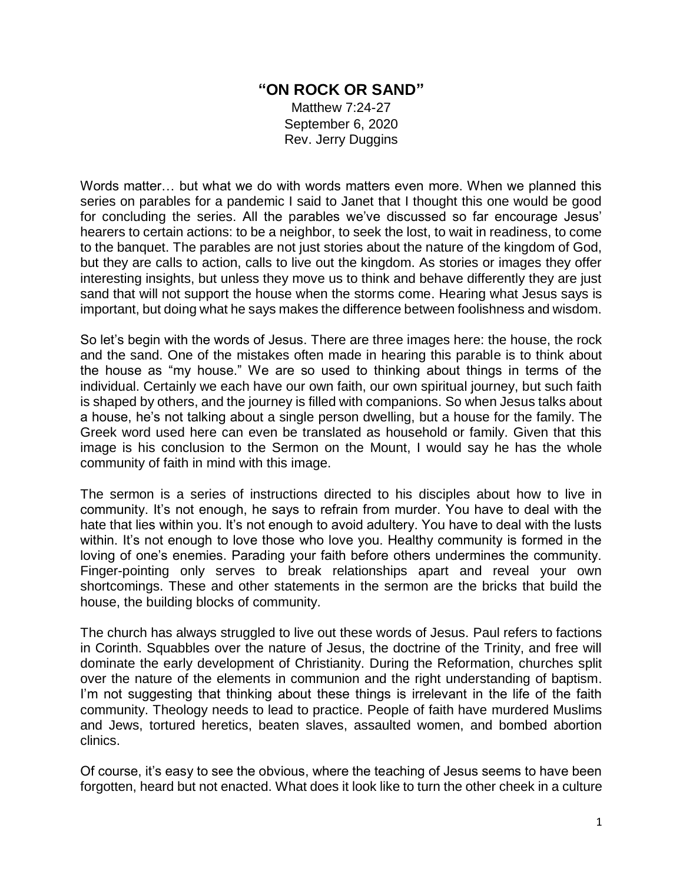## **"ON ROCK OR SAND"**

Matthew 7:24-27 September 6, 2020 Rev. Jerry Duggins

Words matter… but what we do with words matters even more. When we planned this series on parables for a pandemic I said to Janet that I thought this one would be good for concluding the series. All the parables we've discussed so far encourage Jesus' hearers to certain actions: to be a neighbor, to seek the lost, to wait in readiness, to come to the banquet. The parables are not just stories about the nature of the kingdom of God, but they are calls to action, calls to live out the kingdom. As stories or images they offer interesting insights, but unless they move us to think and behave differently they are just sand that will not support the house when the storms come. Hearing what Jesus says is important, but doing what he says makes the difference between foolishness and wisdom.

So let's begin with the words of Jesus. There are three images here: the house, the rock and the sand. One of the mistakes often made in hearing this parable is to think about the house as "my house." We are so used to thinking about things in terms of the individual. Certainly we each have our own faith, our own spiritual journey, but such faith is shaped by others, and the journey is filled with companions. So when Jesus talks about a house, he's not talking about a single person dwelling, but a house for the family. The Greek word used here can even be translated as household or family. Given that this image is his conclusion to the Sermon on the Mount, I would say he has the whole community of faith in mind with this image.

The sermon is a series of instructions directed to his disciples about how to live in community. It's not enough, he says to refrain from murder. You have to deal with the hate that lies within you. It's not enough to avoid adultery. You have to deal with the lusts within. It's not enough to love those who love you. Healthy community is formed in the loving of one's enemies. Parading your faith before others undermines the community. Finger-pointing only serves to break relationships apart and reveal your own shortcomings. These and other statements in the sermon are the bricks that build the house, the building blocks of community.

The church has always struggled to live out these words of Jesus. Paul refers to factions in Corinth. Squabbles over the nature of Jesus, the doctrine of the Trinity, and free will dominate the early development of Christianity. During the Reformation, churches split over the nature of the elements in communion and the right understanding of baptism. I'm not suggesting that thinking about these things is irrelevant in the life of the faith community. Theology needs to lead to practice. People of faith have murdered Muslims and Jews, tortured heretics, beaten slaves, assaulted women, and bombed abortion clinics.

Of course, it's easy to see the obvious, where the teaching of Jesus seems to have been forgotten, heard but not enacted. What does it look like to turn the other cheek in a culture